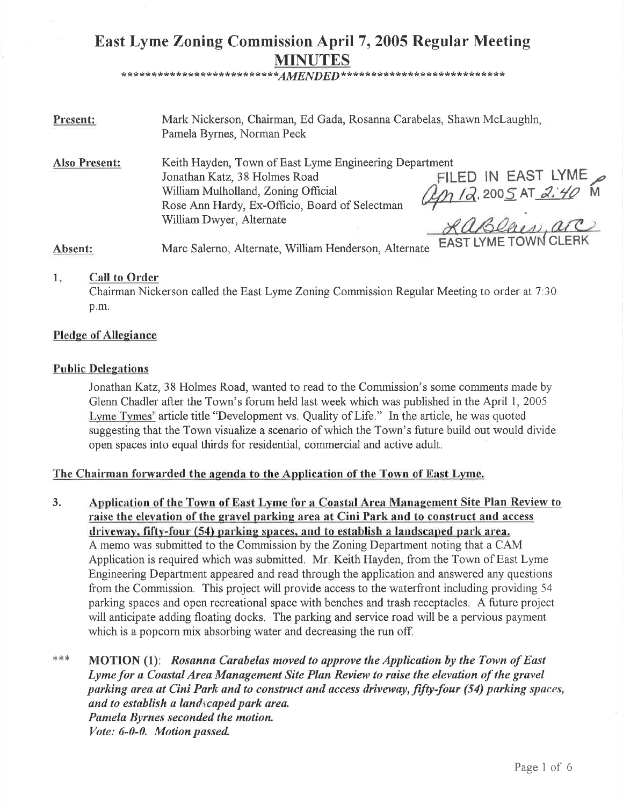# East Lyme Zoning Commission April 7, 2005 Regular Meeting MINUTES \* \*\* \* \* \* \* \* \* \* \* \* \* \* \* \* \* \* \* \* \* \* \* \* \* \*AIWEND E D\*\* \* \*\* \* \*\* \* \* \* \* \* \* \* \* \* \* \* \* \* \* \* \* \* \* \*

Present: Mark Nickerson, Chairman, Ed Gada, Rosanna Carabelas, Shawn McLaughln, Pamela Byrnes, Norman Peck

Also Present: Keith Hayden, Town of East Lyme Engineering Department Jonathan Katz,38 Holmes Road William Mulholland, Zoning Official Rose Ann Hardy, Ex-Officio, Board of Selectman William Dwyer, Alternate ILED IN EAST LYME<br>h /a, 200<u>5</u> at *a:40* M

Absent: Marc Salerno, Alternate, William Henderson, Alternate EAST LYME TOWN CLERK

#### Call to Ordcr 1

Chairman Nickerson called the East Lyme Zoning Commission Regular Meeting to order at 7'.30 p.m.

## Pledge of Allegiance

## Public Delegations

Jonathan Katz, 38 Holmes Road, wanted to read to the Commission's some comments made by Glenn Chadler after the Town's forum held last week which was published in the April 1, 2005 Lyme Tymes' article title "Development vs. Quality of Life." In the article, he was quoted suggesting that the Town visualize a scenario of which the Town's future build out would divide open spaces into equal thirds for residential, commercial and active adult.

# The Chairman forwarded the agenda to the Application of the Town of East Lyme.

Application of the Town of East Lyme for a Coastal Area Management Site Plan Review to raise the elevation of the gravel parking area at Cini Park and to construct and access driveway. fifty-four (54) parking spaces. and to establish a landscaped park area. A memo was submitted to the Commission by the Zoning Department noting that a CAM Application is required which was submitted. Mr. Keith Hayden, from the Town of East Lyme Engineering Department appeared and read through the application and answered any questions from the Commission. This project will provide access to the waterfront including providing 54 parking spaces and open recreational space with benches and trash receptacles. A future project will anticipate adding floating docks. The parking and service road will be a pervious payment which is a popcorn mix absorbing water and decreasing the run off. 3.

MOTION (1): Rosanna Carabelas moved to approve the Application by the Town of East Lyme for a Coastal Area Management Site Plan Review to raise the elevation of the gravel parking area at Cini Park and to construct and access driveway, fifty-four (54) parking spaces, and to establish a land  $x$ caped park area. Pamela Byrnes seconded the motion, Vote: 6-0-0. Motion passed  $***$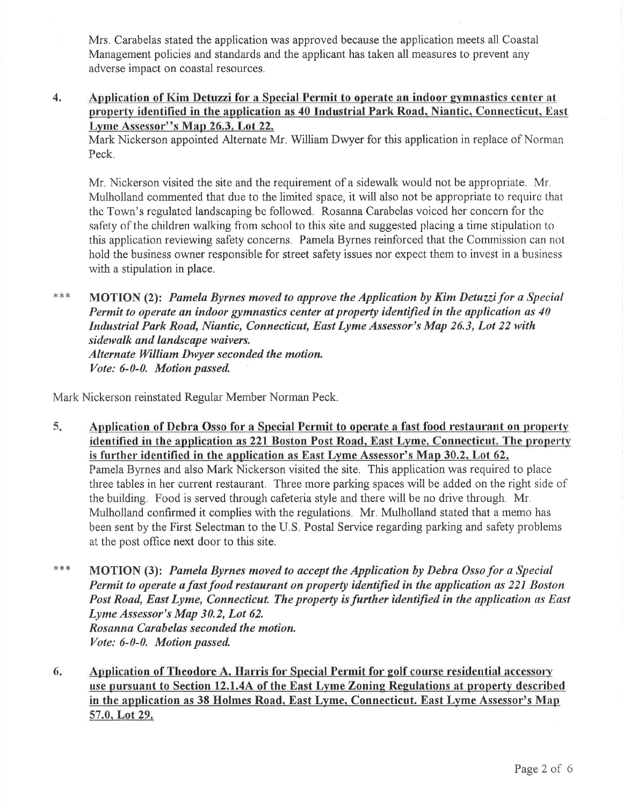Mrs. Carabelas stated the application was approved because the application meets all Coastal Management policies and standards and the applicant has taken all measures to prevent any adverse impact on coastal resources.

4. Application of Kim Detuzzi for a Special Permit to operate an indoor gymnastics center at property identified in the application as 40 Industrial Park Road, Niantic, Connecticut, East Lyme Assessor"s Map 26.3. Lot 22.

Mark Nickerson appointed Alternate Mr. William Dwyer for this application in replace of Norman Peck.

Mr. Nickerson visited the site and the requirement of a sidewalk would not be appropriate. Mr. Mulholland commented that due to the limited space, it will also not be appropriate to require that the Town's regulated landscaping be followed. Rosanna Carabelas voiced her concern for the safety of the children walking from school to this site and suggested placing a time stipulation to this application reviewing safety concerns. Pamela Byrnes reinforced that the Commission can not hold the business owner responsible for street safety issues nor expect them to invest in a business with a stipulation in place.

MOTION (2): Pamela Byrnes moved to approve the Application by Kim Detuzzi for a Special Permit to operate an indoor gymnastics center at property identified in the application as  $40$ Industrial Park Road, Niantic, Connecticut, East Lyme Assessor's Map 26.3, Lot 22 with sidewalk and landscape waivers. Alternate William Dwyer seconded the motion. Vote: 6-0-0. Motion passed x\*\*

Mark Nickerson reinstated Regular Member Norman Peck.

- $5.$ Application of Debra Osso for a Special Permit to operate a fast food restaurant on property identified in the application as 221 Boston Post Road. East Lyme. Connecticut. The property is further identified in the application as East Lyme Assessor's Map 30.2, Lot 62. Pamela Byrnes and also Mark Nickerson visited the site. This application was required to place three tables in her current restaurant. Three more parking spaces will be added on the right side of the building. Food is served through cafeteria style and there will be no drive through. Mr. Mulholland confirmed it complies with the regulations. Mr. Mulholland stated that a memo has been sent by the First Selectman to the U.S. Postal Service regarding parking and safety problems at the post oflice next door to this site.
- $***$ MOTION (3): Pamela Byrnes moved to accept the Application by Debra Osso for a Special Permit to operate a fast food restaurant on property identified in the application as 221 Boston Post Road, East Lyme, Connecticut. The property is further identified in the application as East Lyme Assessor's Map 30.2, Lot 62. Rosanna Carabelas seconded the motion. Vote: 6-0-0. Motion passed.
- Application of Theodore A. Harris for Special Permit for golf course residential accessory use pursuant to Section 12.1.4A of the East Lyme Zoning Regulations at property described in the application as 38 Holmes Road, East Lyme, Connecticut. East Lyme Assessor's Map 6 57.0,Lot29.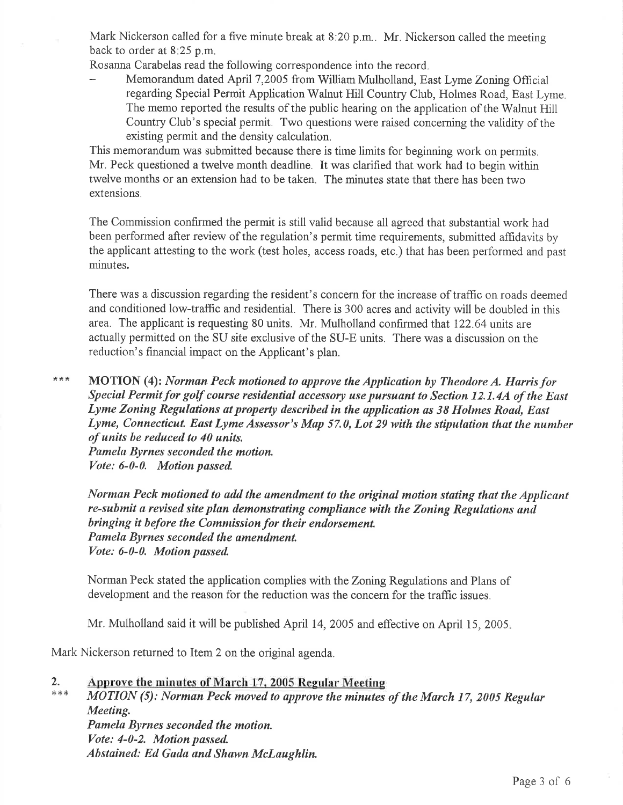Mark Nickerson called for a five minute break at 8:20 p.m.. Mr. Nickerson called the meeting back to order at 8:25 p.m.

Rosanna Carabelas read the following correspondence into the record.

Memorandum dated April 7,2005 from William Mulholland, East Lyme Zoning Official regarding Special Permit Application Walnut Hill Country Club, Holmes Road, East Lyme. The memo reported the results of the public hearing on the application of the Walnut Hill Country Club's special permit. Two questions were raised concerning the validity of the existing permit and the density calculation.

This memorandum was submitted because there is time limits for beginning work on permits. Mr. Peck questioned a twelve month deadline. It was clarified that work had to begin within twelve months or an extension had to be taken. The minutes state that there has been two extensions.

The Commission confirmed the permit is still valid because all agreed that substantial work had been performed after review of the regulation's permit time requirements, submitted affidavits by the applicant attesting to the work (test holes, access roads, etc.) that has been performed and past minutes.

There was a discussion regarding the resident's concern for the increase of traffic on roads deemed and conditioned low-traffic and residential. There is 300 acres and activity will be doubled in this area. The applicant is requesting 80 units. Mr. Mulholland confirmed that 122.64 units are actually permitted on the SU site exclusive of the SU-E units. There was a discussion on the reduction's financial impact on the Applicant's plan.

 $* * *$ MOTION (4): Norman Peck motioned to approve the Application by Theodore A. Harris for Special Permit for golf course residential accessory use pursuant to Section 12.1.4A of the East Lyme Zoning Regulations at property described in the application as 38 Holmes Road, East Lyme, Connecticut. East Lyme Assessor's Map 57.0, Lot 29 with the stipulation that the number of units be reduced to 40 units. Pamela Byrnes seconded the motion, Vote: 6-0-0. Motion passed

Norman Peck motioned to add the amendment to the original motion stating that the Applicant re-submit a revised site plan demonstrating compliance with the Zoning Regulations and bringing it before the Commission for their endorsement. Pamela Byrnes seconded the amendment. Vote: 6-0-0. Motion passed.

Norman Peck stated the application complies with the Zoning Regulations and Plans of development and the reason for the reduction was the concern for the traffic issues.

Mr. Mulholland said it will be published April 14, 2005 and effective on April 15, 2005.

Mark Nickerson returned to Item 2 on the original agenda.

# ) Approve the minutes of March 17. 2005 Regular Meeting

MOTION (5): Norman Peck moved to approve the minutes of the March 17, 2005 Regulur Meeting. Pamela Byrnes seconded the motion. Vote: 4-0-2. Motion passed Abstained: Ed Gada and Shawn Mclaughlin.  $*$   $*$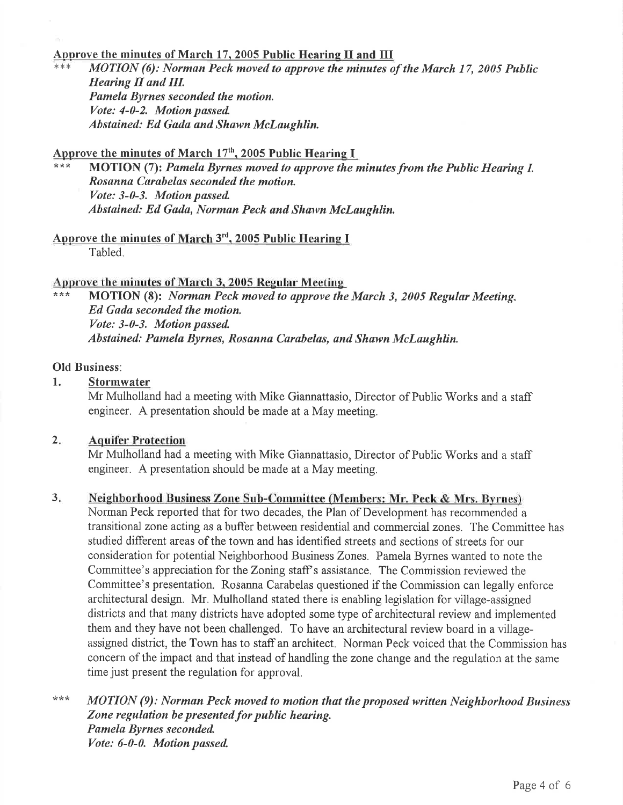### Approve the minutes of March 17, 2005 Public Hearing II and III

 $MOTION$  (6): Norman Peck moved to approve the minutes of the March 17, 2005 Public Hearing II and III. Pamela Byrnes seconded the motion. Vote: 4-0-2. Motion passed Abstained: Ed Gada and Shawn McLaughlin.

Approve the minutes of March  $17<sup>th</sup>$ , 2005 Public Hearing I

MOTION (7): Pamela Byrnes moved to approve the minutes from the Public Hearing I. Rosanna Curabelas seconded the motion. Vote: 3-0-3. Motion passed Abstained: Ed Gada, Norman Peck and Shawn McLaughlin.

Approve the minutes of March  $3<sup>rd</sup>$ , 2005 Public Hearing I Tabled.

Approve the minutes of March 3, 2005 Regular Meeting<br>\*\*\* MOTION (8): Norman Peck moved to approve the March 3, 2005 Regular Meeting, Ed Gada seconded the motion. Vote: 3-0-3. Motion pussed Abstained: Pamela Byrnes, Rosanna Carabelas, and Shawn McLaughlin.

### Old Business:

1. Stormwater

Mr Mulholland had a meeting with Mike Giannattasio, Director of Public Works and a staff engineer. A presentation should be made at a May meeting.

#### Aquifer Protection  $2.$

Mr Mulholland had a meeting with Mike Giannattasio, Director of Public Works and a staff engineer. A presentation should be made at a May meeting.

#### Neighborhood Business Zone Sub-Committee (Members: Mr. Peck & Mrs. Byrnes) 3

Norman Peck reported that for two decades, the Plan of Development has recommended a transitional zone acting as a buffer between residential and commercial zones. The Committee has studied different areas of the town and has identified streets and sections of streets for our consideration for potential Neighborhood Business Zones. Pamela Byrnes wanted to note the Committee's appreciation for the Zoning staff's assistance. The Commission reviewed the Committee's presentation. Rosanna Carabelas questioned if the Commission can legally enforce architectural design. Mr. Mulholland stated there is enabling legislation for village-assigned districts and that many districts have adopted some type of architectural review and implemented them and they have not been challenged. To have an architectural review board in a villageassigned district, the Town has to staffan architect. Norman Peck voiced that the Commission has concern of the impact and that instead of handling the zone change and the regulation at the same time just present the regulation for approval.

MOTION (9): Norman Peck moved to motion that the proposed written Neighborhood Business Zone regulation be presented for public hearing. Pamela Byrnes seconded Vote: 6-0-0. Motion passed \*\*\*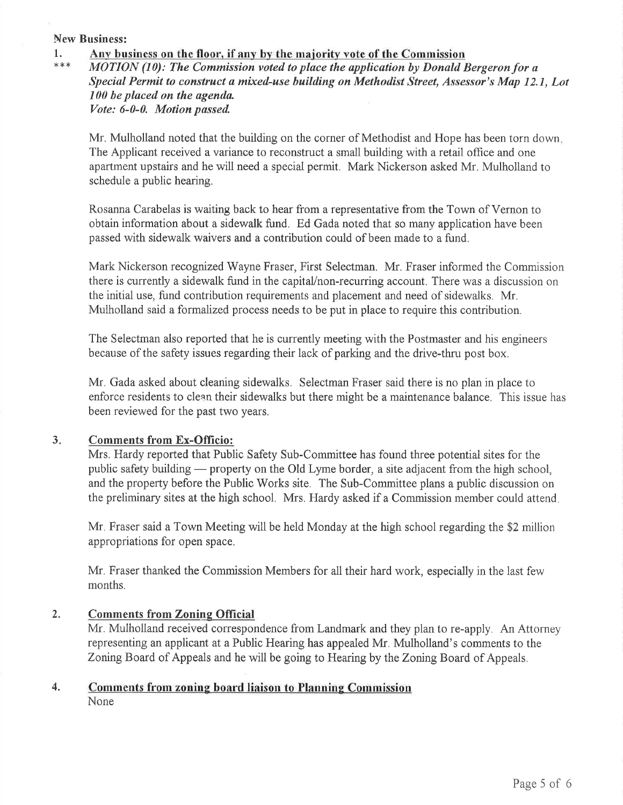### New Business:

1. Any business on the floor, if any by the majority vote of the Commission  $***$  MOTION (10): The Commission voted to place the application by Donald Bergeron for a

Special Permit to construct a mixed-use building on Methodist Street, Assessor's Map 12.1, Lot 100 be placed on the agenda. Vote: 6-0-0. Motion passed

Mr. Mulholland noted that the building on the corner of Methodist and Hope has been torn down. The Applicant received a variance to reconstruct a small building with a retail office and one apartment upstairs and he will need a special permit. Mark Nickerson asked Mr. Mulholland to schedule a public hearing.

Rosanna Carabelas is waiting back to hear from a representative from the Town of Vernon to obtain information about a sidewalk fund. Ed Gada noted that so many application have been passed with sidewalk waivers and a contribution could of been made to a fund.

Mark Nickerson recognized Wayne Fraser, First Selectman. Mr. Fraser informed the Commission there is currently a sidewalk fund in the capital/non-recurring account. There was a discussion on the initial use, fund contribution requirements and placement and need of sidewalks. Mr. Mulholland said a formalized process needs to be put in place to require this contribution.

The Selectman also reported that he is currently meeting with the Postmaster and his engineers because of the safety issues regarding their lack of parking and the drive-thru post box.

Mr. Gada asked about cleaning sidewalks. Selectman Fraser said there is no plan in place to enforce residents to clean their sidewalks but there might be a maintenance balance. This issue has been reviewed for the past two years.

#### Comments from Ex-Officio: 3.

Mrs. Hardy reported that Public Safety Sub-Committee has found three potential sites for the public safety building — property on the Old Lyme border, a site adjacent from the high school, public safety building — property on the Old Lyme border, a site adjacent from the high school,<br>and the property before the Public Works site. The Sub-Committee plans a public discussion on the preliminary sites at the high school. Mrs. Hardy asked if a Commission member could attend

Mr. Fraser said a Town Meeting will be held Monday at the high school regarding the \$2 million appropriations for open space.

Mr. Fraser thanked the Commission Members for all their hard work, especially in the last few months.

# 2. Comments from Zonine Official

Mr. Mulholland received corespondence from Landmark and they plan to re-apply. An Attorney representing an applicant at a Public Hearing has appealed Mr. Mulholland's comments to the Zoning Board of Appeals and he will be going to Hearing by the Zoning Board of Appeals.

# 4. Comments from zoning board liaison to Planning Commission None